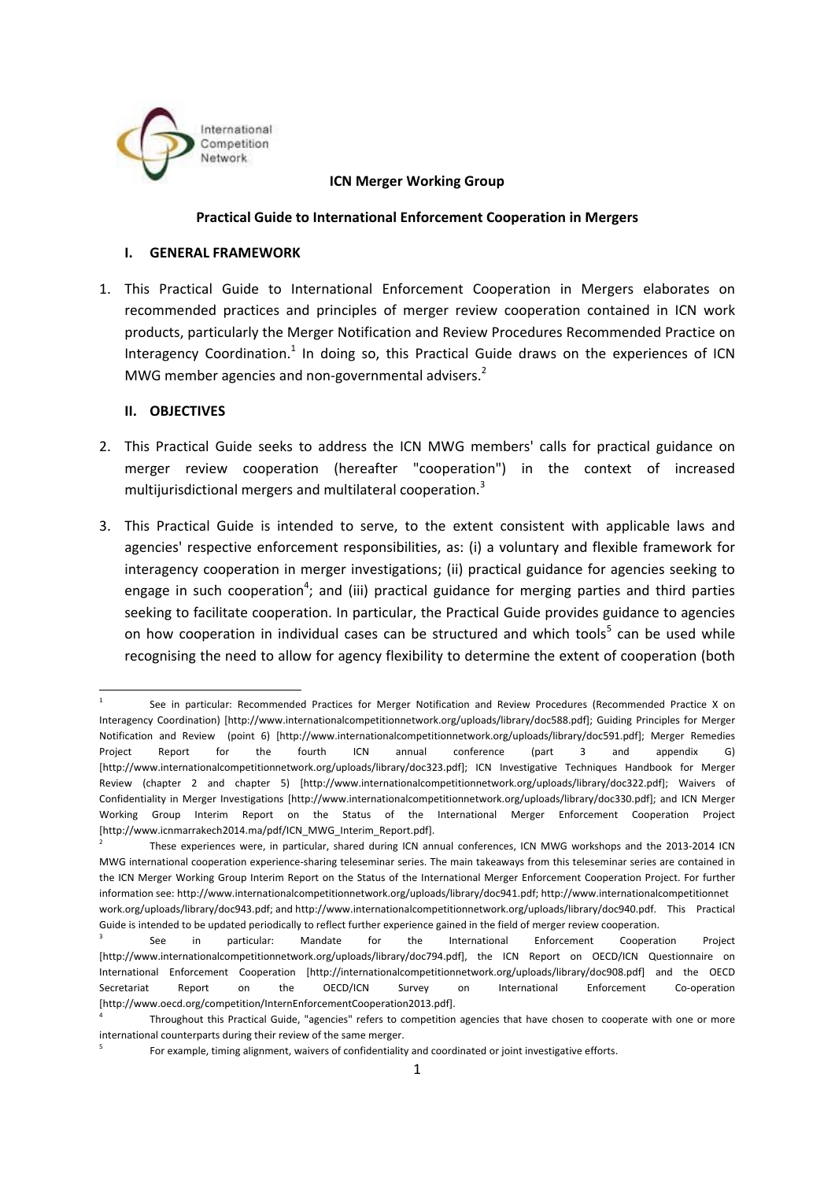

#### **ICN Merger Working Group**

#### **Practical Guide to International Enforcement Cooperation in Mergers**

#### **I. GENERAL FRAMEWORK**

1. This Practical Guide to International Enforcement Cooperation in Mergers elaborates on recommended practices and principles of merger review cooperation contained in ICN work products, particularly the Merger Notification and Review Procedures Recommended Practice on Interagency Coordination.<sup>1</sup> In doing so, this Practical Guide draws on the experiences of ICN MWG member agencies and non-governmental advisers.<sup>2</sup>

#### **II. OBJECTIVES**

**.** 

- 2. This Practical Guide seeks to address the ICN MWG members' calls for practical guidance on merger review cooperation (hereafter "cooperation") in the context of increased multijurisdictional mergers and multilateral cooperation.<sup>3</sup>
- 3. This Practical Guide is intended to serve, to the extent consistent with applicable laws and agencies' respective enforcement responsibilities, as: (i) a voluntary and flexible framework for interagency cooperation in merger investigations; (ii) practical guidance for agencies seeking to engage in such cooperation<sup>4</sup>; and (iii) practical guidance for merging parties and third parties seeking to facilitate cooperation. In particular, the Practical Guide provides guidance to agencies on how cooperation in individual cases can be structured and which tools<sup>5</sup> can be used while recognising the need to allow for agency flexibility to determine the extent of cooperation (both

See in particular: Recommended Practices for Merger Notification and Review Procedures (Recommended Practice X on Interagency Coordination) [http://www.internationalcompetitionnetwork.org/uploads/library/doc588.pdf]; Guiding Principles for Merger Notification and Review (point 6) [http://www.internationalcompetitionnetwork.org/uploads/library/doc591.pdf]; Merger Remedies Project Report for the fourth ICN annual conference (part 3 and appendix G) [http://www.internationalcompetitionnetwork.org/uploads/library/doc323.pdf]; ICN Investigative Techniques Handbook for Merger Review (chapter 2 and chapter 5) [http://www.internationalcompetitionnetwork.org/uploads/library/doc322.pdf]; Waivers of Confidentiality in Merger Investigations [http://www.internationalcompetitionnetwork.org/uploads/library/doc330.pdf]; and ICN Merger Working Group Interim Report on the Status of the International Merger Enforcement Cooperation Project [http://www.icnmarrakech2014.ma/pdf/ICN\_MWG\_Interim\_Report.pdf].<br><sup>2</sup> These experiences were, in particular, shared during ICN annual conferences, ICN MWG workshops and the 2013-2014 ICN

MWG international cooperation experience-sharing teleseminar series. The main takeaways from this teleseminar series are contained in the ICN Merger Working Group Interim Report on the Status of the International Merger Enforcement Cooperation Project. For further information see: http://www.internationalcompetitionnetwork.org/uploads/library/doc941.pdf; http://www.internationalcompetitionnet work.org/uploads/library/doc943.pdf; and [http://www.internationalcompetitionnetw](http://www.internationalcompetitionnetwork.org/uploads/library/doc940.pdf)ork.org/uploads/library/doc940.pdf. This Practical

Guide is intended to be updated periodically to reflect further experience gained in the field of merger review cooperation.<br><sup>3</sup> See in particular: Mandate for the International Enforcement Cooperation International Enforcement Cooperation Project [http://www.internationalcompetitionnetwork.org/uploads/library/doc794.pdf], the ICN Report on OECD/ICN Questionnaire on International Enforcement Cooperation [http://internationalcompetitionnetwork.org/uploads/library/doc908.pdf] and the OECD Secretariat Report on the OECD/ICN Survey on International Enforcement Co-operation [http://www.oecd.org/competition/InternEnforcementCooperation2013.pdf]. 4 Throughout this Practical Guide, "agencies" refers to competition agencies that have chosen to cooperate with one or more

international counterparts during their review of the same merger.<br><sup>5</sup> For example, timing alignment, waivers of confidentiality and coordinated or joint investigative efforts.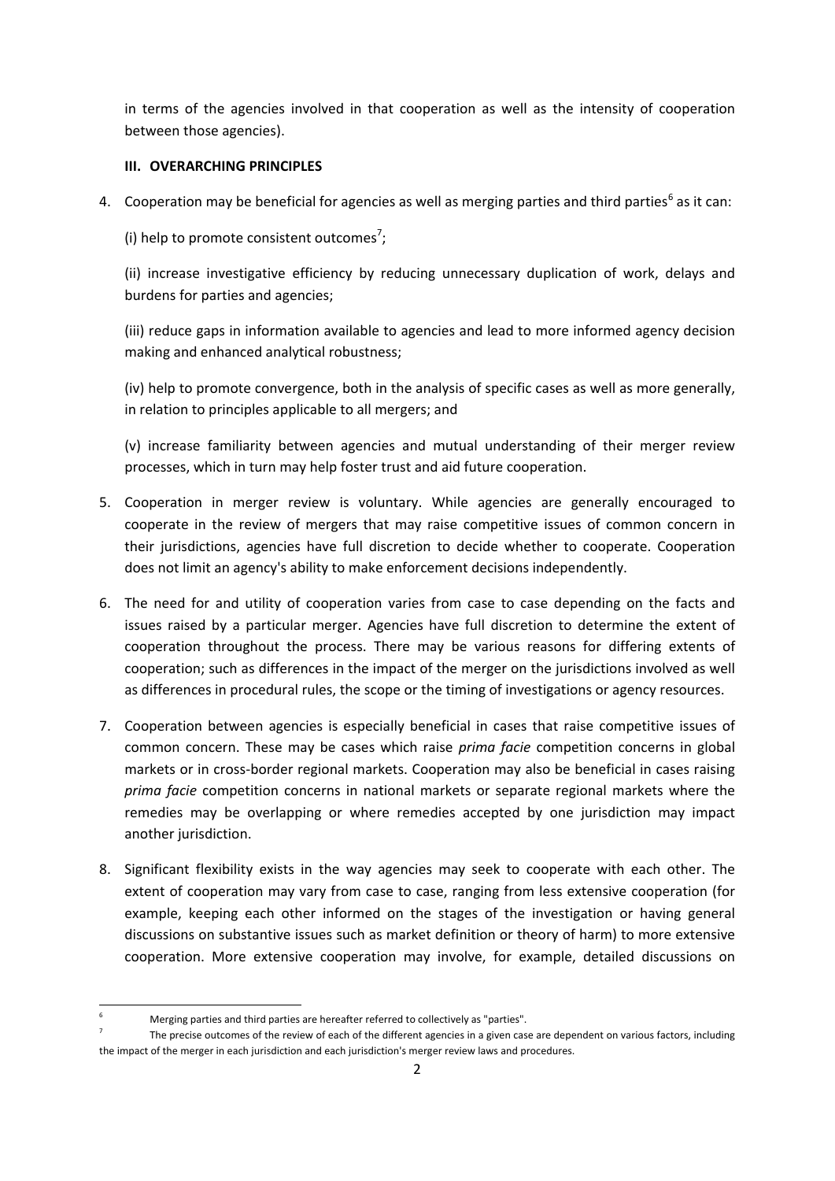in terms of the agencies involved in that cooperation as well as the intensity of cooperation between those agencies).

# **III. OVERARCHING PRINCIPLES**

4. Cooperation may be beneficial for agencies as well as merging parties and third parties<sup>6</sup> as it can:

(i) help to promote consistent outcomes<sup>7</sup>;

(ii) increase investigative efficiency by reducing unnecessary duplication of work, delays and burdens for parties and agencies;

(iii) reduce gaps in information available to agencies and lead to more informed agency decision making and enhanced analytical robustness;

(iv) help to promote convergence, both in the analysis of specific cases as well as more generally, in relation to principles applicable to all mergers; and

(v) increase familiarity between agencies and mutual understanding of their merger review processes, which in turn may help foster trust and aid future cooperation.

- 5. Cooperation in merger review is voluntary. While agencies are generally encouraged to cooperate in the review of mergers that may raise competitive issues of common concern in their jurisdictions, agencies have full discretion to decide whether to cooperate. Cooperation does not limit an agency's ability to make enforcement decisions independently.
- 6. The need for and utility of cooperation varies from case to case depending on the facts and issues raised by a particular merger. Agencies have full discretion to determine the extent of cooperation throughout the process. There may be various reasons for differing extents of cooperation; such as differences in the impact of the merger on the jurisdictions involved as well as differences in procedural rules, the scope or the timing of investigations or agency resources.
- 7. Cooperation between agencies is especially beneficial in cases that raise competitive issues of common concern. These may be cases which raise *prima facie* competition concerns in global markets or in cross-border regional markets. Cooperation may also be beneficial in cases raising *prima facie* competition concerns in national markets or separate regional markets where the remedies may be overlapping or where remedies accepted by one jurisdiction may impact another jurisdiction.
- 8. Significant flexibility exists in the way agencies may seek to cooperate with each other. The extent of cooperation may vary from case to case, ranging from less extensive cooperation (for example, keeping each other informed on the stages of the investigation or having general discussions on substantive issues such as market definition or theory of harm) to more extensive cooperation. More extensive cooperation may involve, for example, detailed discussions on

<sup>1</sup> 

Merging parties and third parties are hereafter referred to collectively as "parties".<br>The precise outcomes of the review of each of the different agencies in a given case are dependent on various factors, including the impact of the merger in each jurisdiction and each jurisdiction's merger review laws and procedures.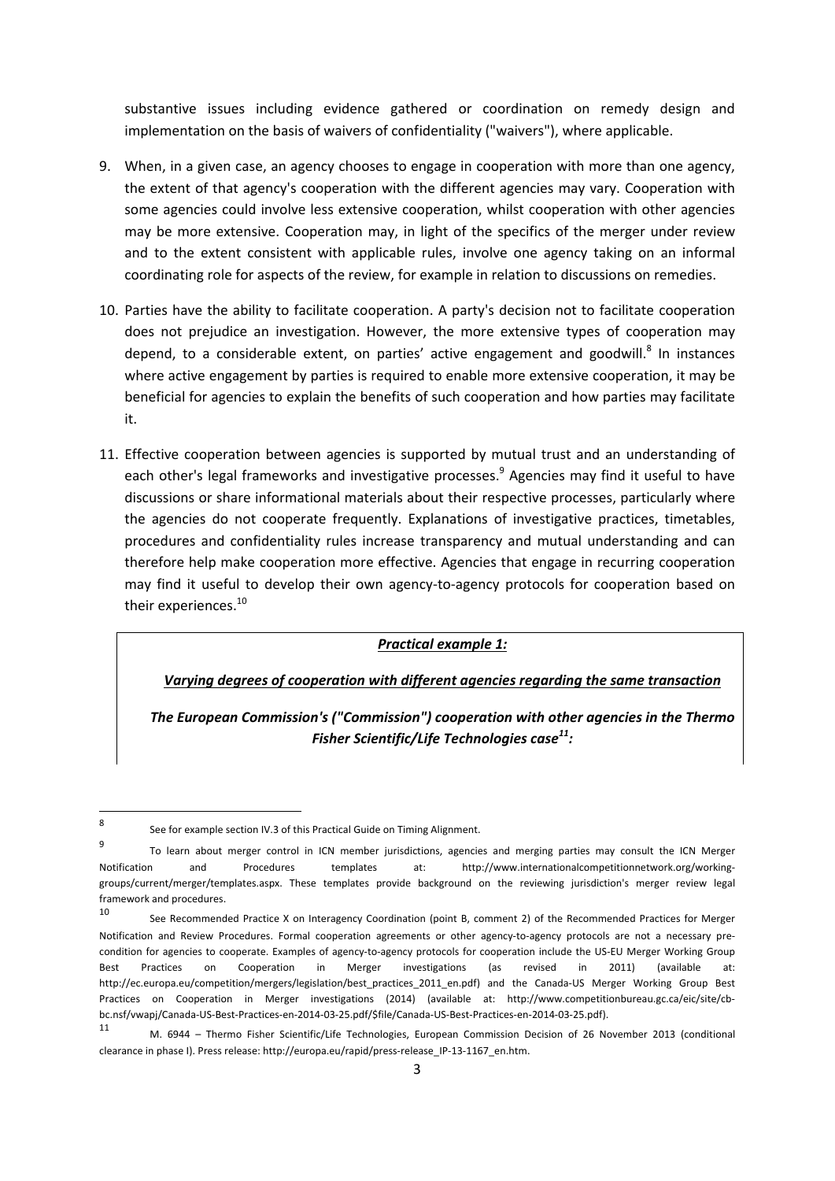substantive issues including evidence gathered or coordination on remedy design and implementation on the basis of waivers of confidentiality ("waivers"), where applicable.

- 9. When, in a given case, an agency chooses to engage in cooperation with more than one agency, the extent of that agency's cooperation with the different agencies may vary. Cooperation with some agencies could involve less extensive cooperation, whilst cooperation with other agencies may be more extensive. Cooperation may, in light of the specifics of the merger under review and to the extent consistent with applicable rules, involve one agency taking on an informal coordinating role for aspects of the review, for example in relation to discussions on remedies.
- 10. Parties have the ability to facilitate cooperation. A party's decision not to facilitate cooperation does not prejudice an investigation. However, the more extensive types of cooperation may depend, to a considerable extent, on parties' active engagement and goodwill.<sup>8</sup> In instances where active engagement by parties is required to enable more extensive cooperation, it may be beneficial for agencies to explain the benefits of such cooperation and how parties may facilitate it.
- 11. Effective cooperation between agencies is supported by mutual trust and an understanding of each other's legal frameworks and investigative processes.<sup>9</sup> Agencies may find it useful to have discussions or share informational materials about their respective processes, particularly where the agencies do not cooperate frequently. Explanations of investigative practices, timetables, procedures and confidentiality rules increase transparency and mutual understanding and can therefore help make cooperation more effective. Agencies that engage in recurring cooperation may find it useful to develop their own agency-to-agency protocols for cooperation based on their experiences.<sup>10</sup>

*Practical example 1:*

*Varying degrees of cooperation with different agencies regarding the same transaction*

*The European Commission's ("Commission") cooperation with other agencies in the Thermo Fisher Scientific/Life Technologies case11:* 

**.** 

<sup>8</sup> See for example section IV.3 of this Practical Guide on Timing Alignment.

<sup>9</sup> To learn about merger control in ICN member jurisdictions, agencies and merging parties may consult the ICN Merger Notification and Procedures templates at: http://www.internationalcompetitionnetwork.org/workinggroups/current/merger/templates.aspx. These templates provide background on the reviewing jurisdiction's merger review legal framework and procedures.<br>10 See Recommended Practice X on Interagency Coordination (point B, comment 2) of the Recommended Practices for Merger

Notification and Review Procedures. Formal cooperation agreements or other agency-to-agency protocols are not a necessary precondition for agencies to cooperate. Examples of agency-to-agency protocols for cooperation include the US-EU Merger Working Group Best Practices on Cooperation in Merger investigations (as revised in 2011) (available at: http://ec.europa.eu/competition/mergers/legislation/best\_practices\_2011\_en.pdf) and the Canada-US Merger Working Group Best Practices on Cooperation in Merger investigations (2014) (available at: http://www.competitionbureau.gc.ca/eic/site/cbbc.nsf/vwapj/Canada-US-Best-Practices-en-2014-03-25.pdf/\$file/Canada-US-Best-Practices-en-2014-03-25.pdf).

<sup>11</sup> M. 6944 – Thermo Fisher Scientific/Life Technologies, European Commission Decision of 26 November 2013 (conditional clearance in phase I). Press release: http://europa.eu/rapid/press-release\_IP-13-1167\_en.htm.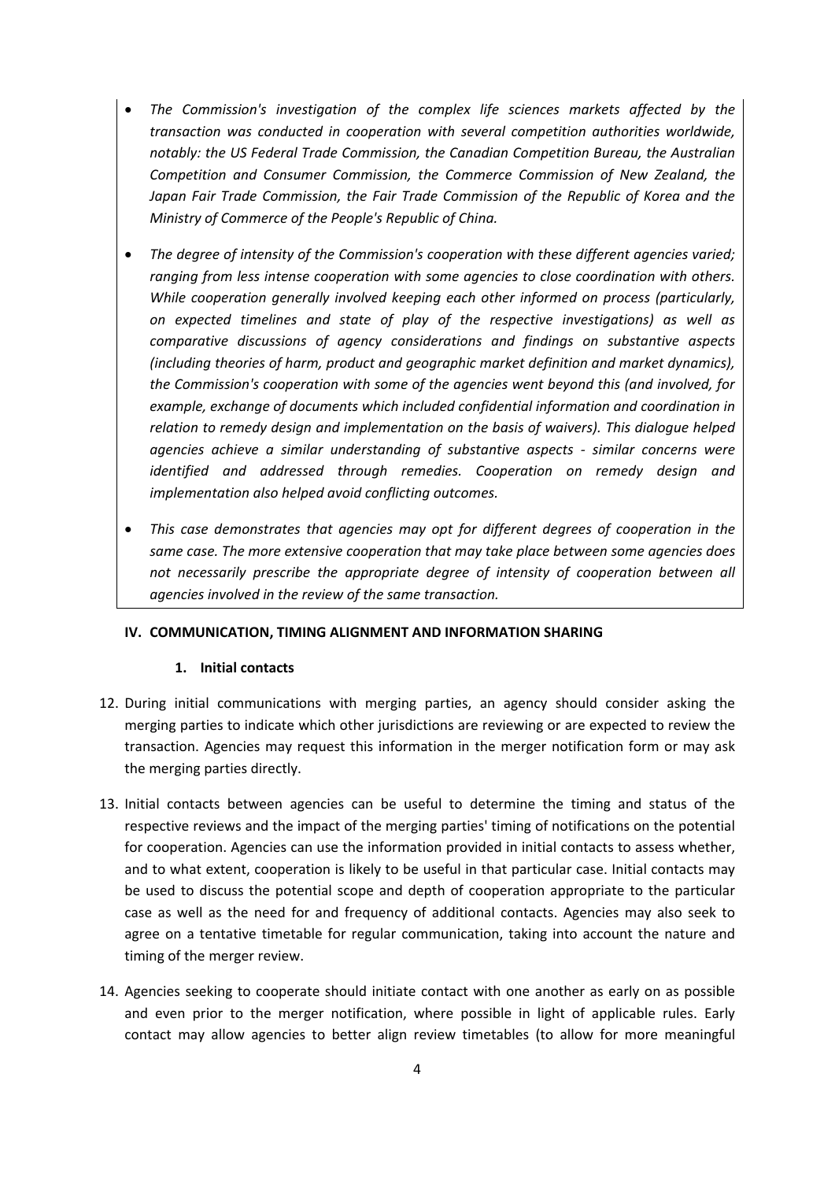- *The Commission's investigation of the complex life sciences markets affected by the transaction was conducted in cooperation with several competition authorities worldwide, notably: the US Federal Trade Commission, the Canadian Competition Bureau, the Australian Competition and Consumer Commission, the Commerce Commission of New Zealand, the Japan Fair Trade Commission, the Fair Trade Commission of the Republic of Korea and the Ministry of Commerce of the People's Republic of China.*
- *The degree of intensity of the Commission's cooperation with these different agencies varied; ranging from less intense cooperation with some agencies to close coordination with others. While cooperation generally involved keeping each other informed on process (particularly, on expected timelines and state of play of the respective investigations) as well as comparative discussions of agency considerations and findings on substantive aspects (including theories of harm, product and geographic market definition and market dynamics), the Commission's cooperation with some of the agencies went beyond this (and involved, for example, exchange of documents which included confidential information and coordination in relation to remedy design and implementation on the basis of waivers). This dialogue helped agencies achieve a similar understanding of substantive aspects - similar concerns were identified and addressed through remedies. Cooperation on remedy design and implementation also helped avoid conflicting outcomes.*
- *This case demonstrates that agencies may opt for different degrees of cooperation in the same case. The more extensive cooperation that may take place between some agencies does not necessarily prescribe the appropriate degree of intensity of cooperation between all agencies involved in the review of the same transaction.*

#### **IV. COMMUNICATION, TIMING ALIGNMENT AND INFORMATION SHARING**

#### **1. Initial contacts**

- 12. During initial communications with merging parties, an agency should consider asking the merging parties to indicate which other jurisdictions are reviewing or are expected to review the transaction. Agencies may request this information in the merger notification form or may ask the merging parties directly.
- 13. Initial contacts between agencies can be useful to determine the timing and status of the respective reviews and the impact of the merging parties' timing of notifications on the potential for cooperation. Agencies can use the information provided in initial contacts to assess whether, and to what extent, cooperation is likely to be useful in that particular case. Initial contacts may be used to discuss the potential scope and depth of cooperation appropriate to the particular case as well as the need for and frequency of additional contacts. Agencies may also seek to agree on a tentative timetable for regular communication, taking into account the nature and timing of the merger review.
- 14. Agencies seeking to cooperate should initiate contact with one another as early on as possible and even prior to the merger notification, where possible in light of applicable rules. Early contact may allow agencies to better align review timetables (to allow for more meaningful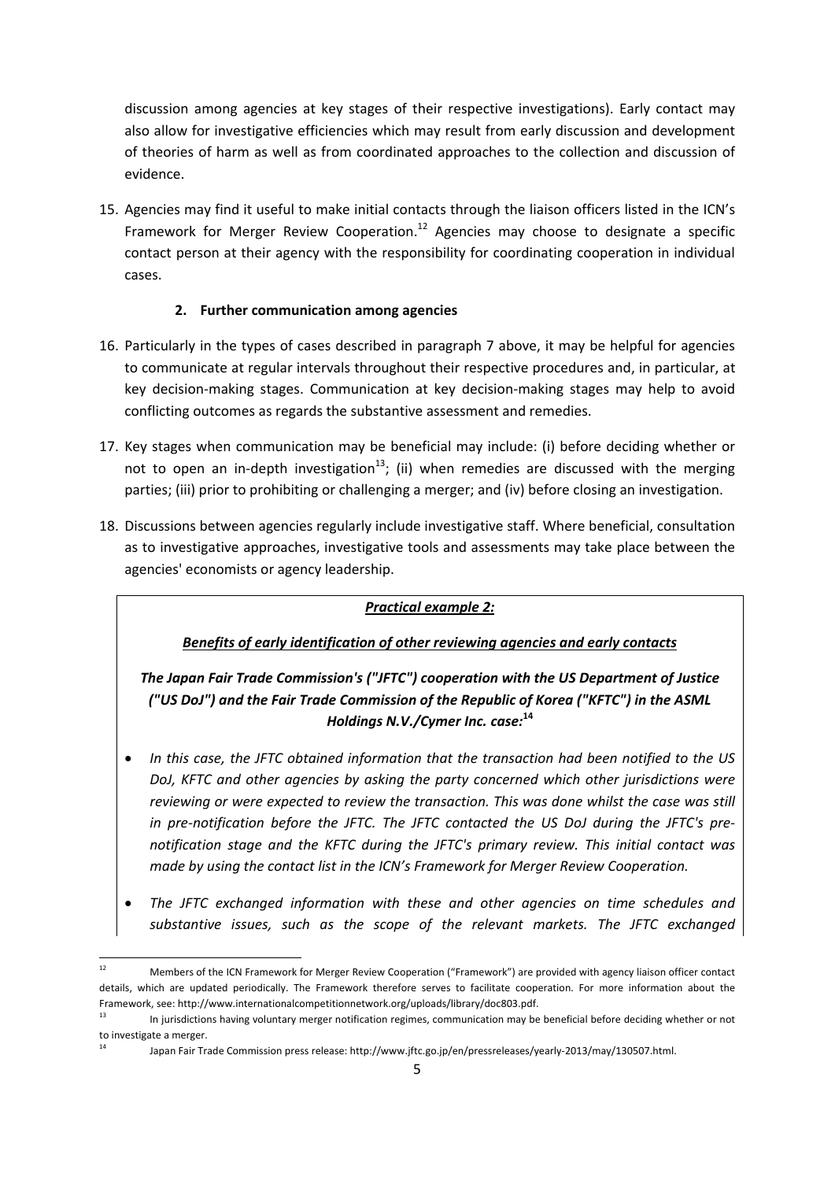discussion among agencies at key stages of their respective investigations). Early contact may also allow for investigative efficiencies which may result from early discussion and development of theories of harm as well as from coordinated approaches to the collection and discussion of evidence.

15. Agencies may find it useful to make initial contacts through the liaison officers listed in the ICN's Framework for Merger Review Cooperation.<sup>12</sup> Agencies may choose to designate a specific contact person at their agency with the responsibility for coordinating cooperation in individual cases.

# **2. Further communication among agencies**

- 16. Particularly in the types of cases described in paragraph 7 above, it may be helpful for agencies to communicate at regular intervals throughout their respective procedures and, in particular, at key decision-making stages. Communication at key decision-making stages may help to avoid conflicting outcomes as regards the substantive assessment and remedies.
- 17. Key stages when communication may be beneficial may include: (i) before deciding whether or not to open an in-depth investigation<sup>13</sup>; (ii) when remedies are discussed with the merging parties; (iii) prior to prohibiting or challenging a merger; and (iv) before closing an investigation.
- 18. Discussions between agencies regularly include investigative staff. Where beneficial, consultation as to investigative approaches, investigative tools and assessments may take place between the agencies' economists or agency leadership.

# *Practical example 2:*

# *Benefits of early identification of other reviewing agencies and early contacts*

*The Japan Fair Trade Commission's ("JFTC") cooperation with the US Department of Justice ("US DoJ") and the Fair Trade Commission of the Republic of Korea ("KFTC") in the ASML Holdings N.V./Cymer Inc. case:***<sup>14</sup>**

- *In this case, the JFTC obtained information that the transaction had been notified to the US DoJ, KFTC and other agencies by asking the party concerned which other jurisdictions were reviewing or were expected to review the transaction. This was done whilst the case was still in pre-notification before the JFTC. The JFTC contacted the US DoJ during the JFTC's prenotification stage and the KFTC during the JFTC's primary review. This initial contact was made by using the contact list in the ICN's Framework for Merger Review Cooperation.*
- *The JFTC exchanged information with these and other agencies on time schedules and substantive issues, such as the scope of the relevant markets. The JFTC exchanged*

 $\overline{a}$ 12 Members of the ICN Framework for Merger Review Cooperation ("Framework") are provided with agency liaison officer contact details, which are updated periodically. The Framework therefore serves to facilitate cooperation. For more information about the Framework, see: http://www.internationalcompetitionnetwork.org/uploads/library/doc803.pdf.

<sup>&</sup>lt;sup>13</sup> In jurisdictions having voluntary merger notification regimes, communication may be beneficial before deciding whether or not to investigate a merger.

<sup>14</sup> Japan Fair Trade Commission press release: http://www.jftc.go.jp/en/pressreleases/yearly-2013/may/130507.html.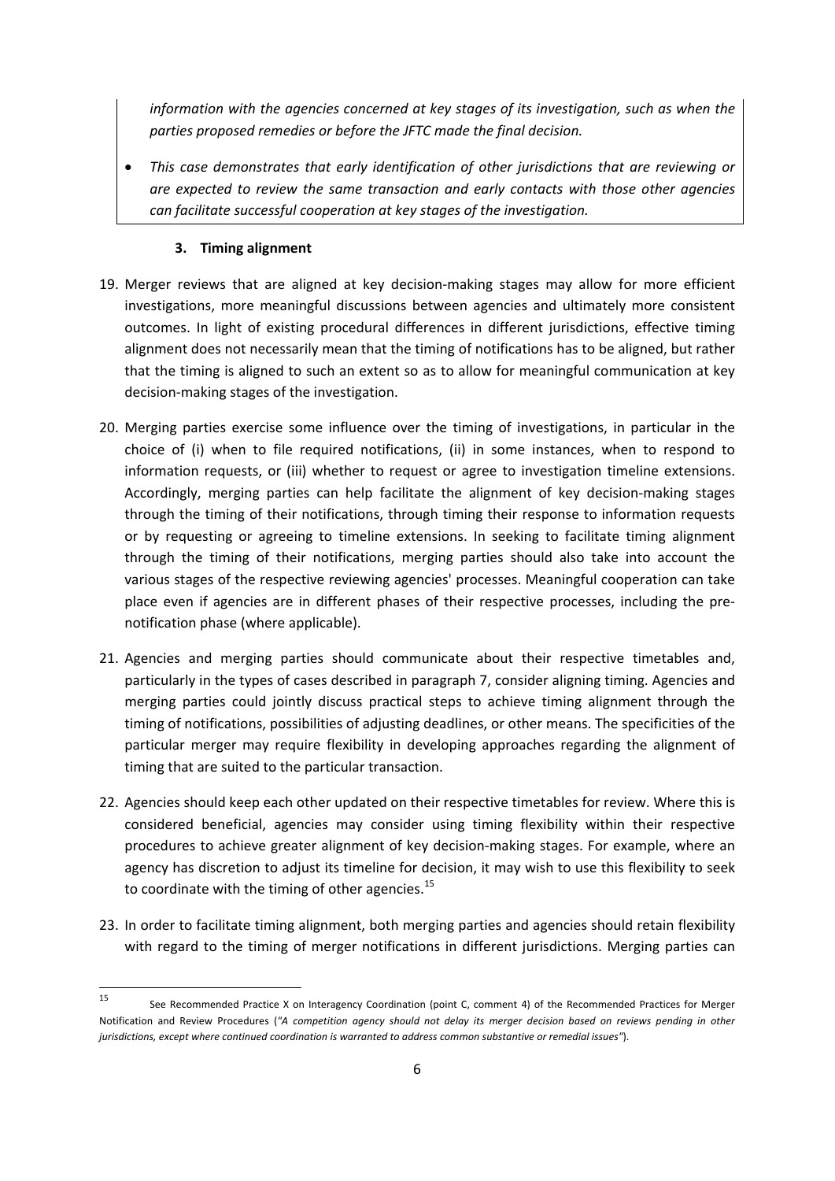*information with the agencies concerned at key stages of its investigation, such as when the parties proposed remedies or before the JFTC made the final decision.* 

• *This case demonstrates that early identification of other jurisdictions that are reviewing or are expected to review the same transaction and early contacts with those other agencies can facilitate successful cooperation at key stages of the investigation.* 

# **3. Timing alignment**

- 19. Merger reviews that are aligned at key decision-making stages may allow for more efficient investigations, more meaningful discussions between agencies and ultimately more consistent outcomes. In light of existing procedural differences in different jurisdictions, effective timing alignment does not necessarily mean that the timing of notifications has to be aligned, but rather that the timing is aligned to such an extent so as to allow for meaningful communication at key decision-making stages of the investigation.
- 20. Merging parties exercise some influence over the timing of investigations, in particular in the choice of (i) when to file required notifications, (ii) in some instances, when to respond to information requests, or (iii) whether to request or agree to investigation timeline extensions. Accordingly, merging parties can help facilitate the alignment of key decision-making stages through the timing of their notifications, through timing their response to information requests or by requesting or agreeing to timeline extensions. In seeking to facilitate timing alignment through the timing of their notifications, merging parties should also take into account the various stages of the respective reviewing agencies' processes. Meaningful cooperation can take place even if agencies are in different phases of their respective processes, including the prenotification phase (where applicable).
- 21. Agencies and merging parties should communicate about their respective timetables and, particularly in the types of cases described in paragraph 7, consider aligning timing. Agencies and merging parties could jointly discuss practical steps to achieve timing alignment through the timing of notifications, possibilities of adjusting deadlines, or other means. The specificities of the particular merger may require flexibility in developing approaches regarding the alignment of timing that are suited to the particular transaction.
- 22. Agencies should keep each other updated on their respective timetables for review. Where this is considered beneficial, agencies may consider using timing flexibility within their respective procedures to achieve greater alignment of key decision-making stages. For example, where an agency has discretion to adjust its timeline for decision, it may wish to use this flexibility to seek to coordinate with the timing of other agencies. $^{15}$
- 23. In order to facilitate timing alignment, both merging parties and agencies should retain flexibility with regard to the timing of merger notifications in different jurisdictions. Merging parties can

<sup>15</sup> See Recommended Practice X on Interagency Coordination (point C, comment 4) of the Recommended Practices for Merger Notification and Review Procedures (*"A competition agency should not delay its merger decision based on reviews pending in other jurisdictions, except where continued coordination is warranted to address common substantive or remedial issues"*).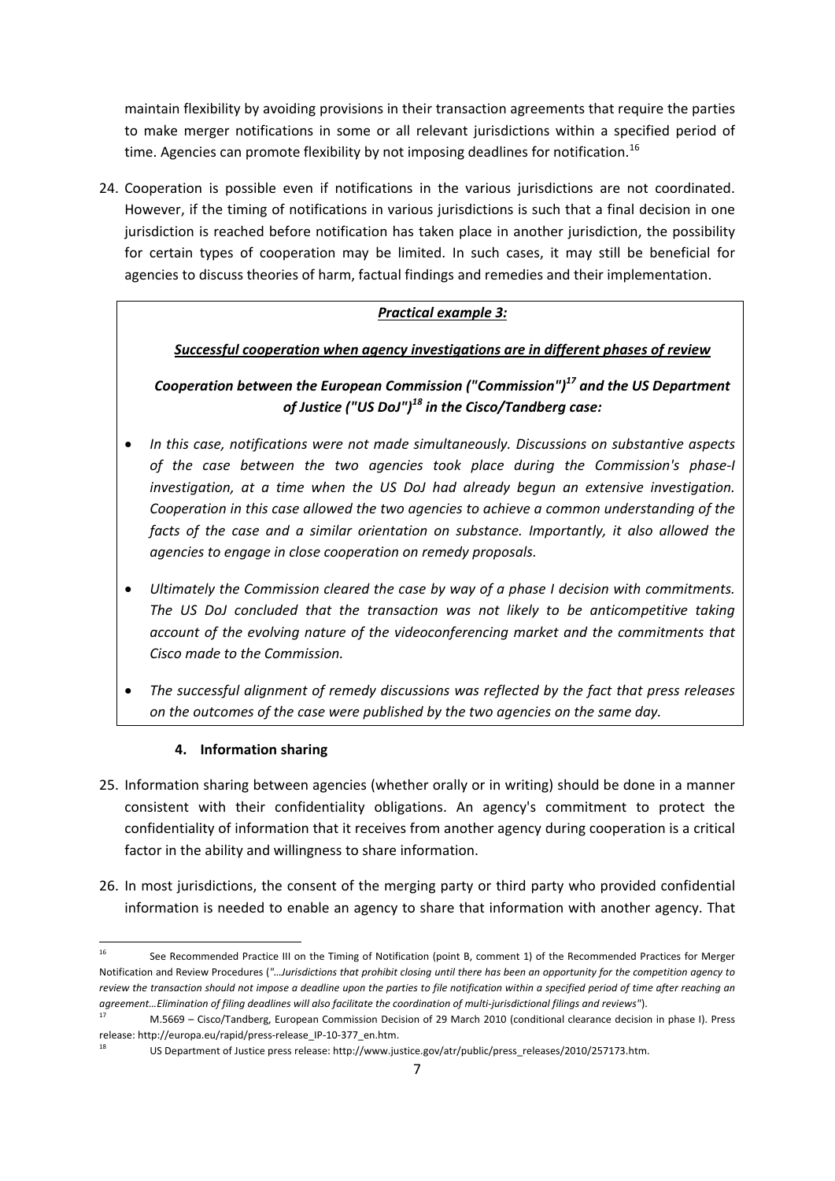maintain flexibility by avoiding provisions in their transaction agreements that require the parties to make merger notifications in some or all relevant jurisdictions within a specified period of time. Agencies can promote flexibility by not imposing deadlines for notification.<sup>16</sup>

24. Cooperation is possible even if notifications in the various jurisdictions are not coordinated. However, if the timing of notifications in various jurisdictions is such that a final decision in one jurisdiction is reached before notification has taken place in another jurisdiction, the possibility for certain types of cooperation may be limited. In such cases, it may still be beneficial for agencies to discuss theories of harm, factual findings and remedies and their implementation.

# *Practical example 3:*

# *Successful cooperation when agency investigations are in different phases of review*

*Cooperation between the European Commission ("Commission")17 and the US Department of Justice ("US DoJ")18 in the Cisco/Tandberg case:* 

- *In this case, notifications were not made simultaneously. Discussions on substantive aspects of the case between the two agencies took place during the Commission's phase-I investigation, at a time when the US DoJ had already begun an extensive investigation. Cooperation in this case allowed the two agencies to achieve a common understanding of the facts of the case and a similar orientation on substance. Importantly, it also allowed the agencies to engage in close cooperation on remedy proposals.*
- *Ultimately the Commission cleared the case by way of a phase I decision with commitments. The US DoJ concluded that the transaction was not likely to be anticompetitive taking account of the evolving nature of the videoconferencing market and the commitments that Cisco made to the Commission.*
- *The successful alignment of remedy discussions was reflected by the fact that press releases on the outcomes of the case were published by the two agencies on the same day.*

# **4. Information sharing**

- 25. Information sharing between agencies (whether orally or in writing) should be done in a manner consistent with their confidentiality obligations. An agency's commitment to protect the confidentiality of information that it receives from another agency during cooperation is a critical factor in the ability and willingness to share information.
- 26. In most jurisdictions, the consent of the merging party or third party who provided confidential information is needed to enable an agency to share that information with another agency. That

**<sup>.</sup>** See Recommended Practice III on the Timing of Notification (point B, comment 1) of the Recommended Practices for Merger Notification and Review Procedures (*"…Jurisdictions that prohibit closing until there has been an opportunity for the competition agency to review the transaction should not impose a deadline upon the parties to file notification within a specified period of time after reaching an*  agreement...Elimination of filing deadlines will also facilitate the coordination of multi-jurisdictional filings and reviews").<br><sup>17</sup> M.5669 – Cisco/Tandberg, European Commission Decision of 29 March 2010 (conditional clea

release: http://europa.eu/rapid/press-release\_IP-10-377\_en.htm.

<sup>18</sup> US Department of Justice press release: http://www.justice.gov/atr/public/press\_releases/2010/257173.htm.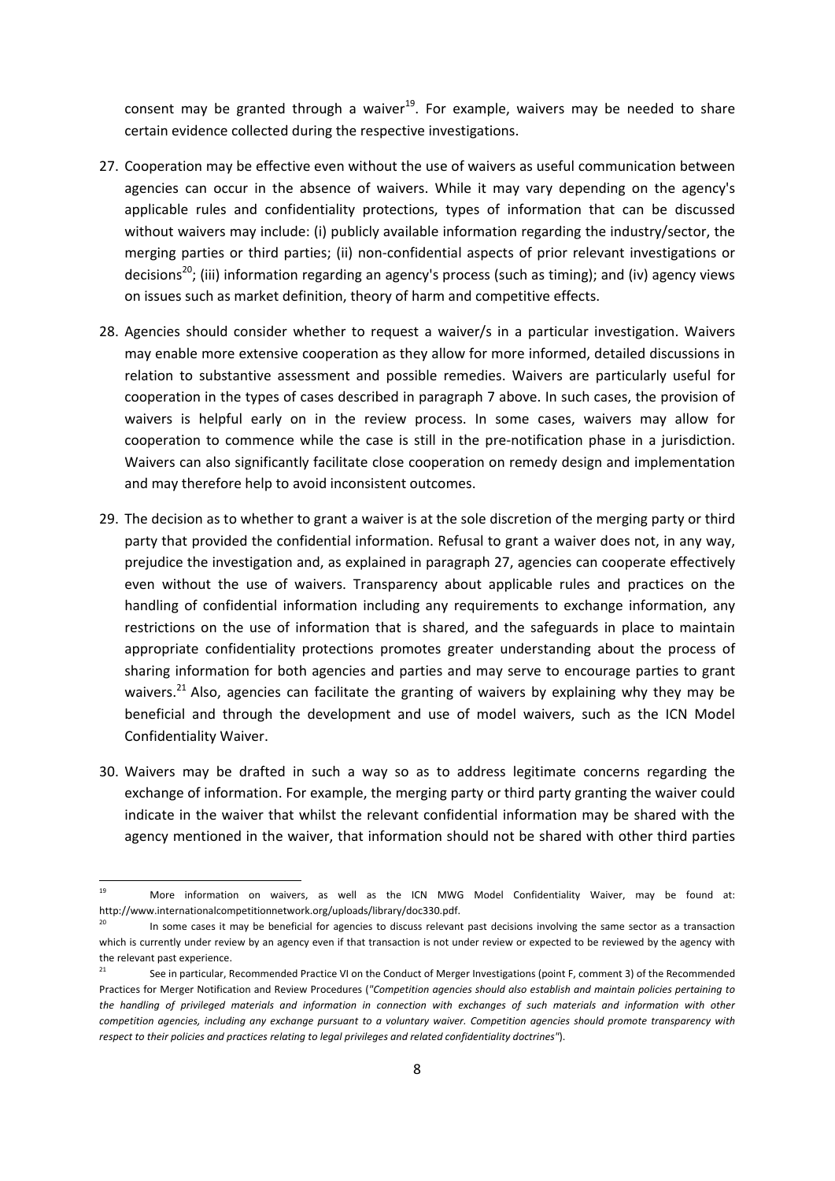consent may be granted through a waiver $19$ . For example, waivers may be needed to share certain evidence collected during the respective investigations.

- 27. Cooperation may be effective even without the use of waivers as useful communication between agencies can occur in the absence of waivers. While it may vary depending on the agency's applicable rules and confidentiality protections, types of information that can be discussed without waivers may include: (i) publicly available information regarding the industry/sector, the merging parties or third parties; (ii) non-confidential aspects of prior relevant investigations or decisions<sup>20</sup>; (iii) information regarding an agency's process (such as timing); and (iv) agency views on issues such as market definition, theory of harm and competitive effects.
- 28. Agencies should consider whether to request a waiver/s in a particular investigation. Waivers may enable more extensive cooperation as they allow for more informed, detailed discussions in relation to substantive assessment and possible remedies. Waivers are particularly useful for cooperation in the types of cases described in paragraph 7 above. In such cases, the provision of waivers is helpful early on in the review process. In some cases, waivers may allow for cooperation to commence while the case is still in the pre-notification phase in a jurisdiction. Waivers can also significantly facilitate close cooperation on remedy design and implementation and may therefore help to avoid inconsistent outcomes.
- 29. The decision as to whether to grant a waiver is at the sole discretion of the merging party or third party that provided the confidential information. Refusal to grant a waiver does not, in any way, prejudice the investigation and, as explained in paragraph 27, agencies can cooperate effectively even without the use of waivers. Transparency about applicable rules and practices on the handling of confidential information including any requirements to exchange information, any restrictions on the use of information that is shared, and the safeguards in place to maintain appropriate confidentiality protections promotes greater understanding about the process of sharing information for both agencies and parties and may serve to encourage parties to grant waivers.<sup>21</sup> Also, agencies can facilitate the granting of waivers by explaining why they may be beneficial and through the development and use of model waivers, such as the ICN Model Confidentiality Waiver.
- 30. Waivers may be drafted in such a way so as to address legitimate concerns regarding the exchange of information. For example, the merging party or third party granting the waiver could indicate in the waiver that whilst the relevant confidential information may be shared with the agency mentioned in the waiver, that information should not be shared with other third parties

 $19$ More information on waivers, as well as the ICN MWG Model Confidentiality Waiver, may be found at: http://www.internationalcompetitionnetwork.org/uploads/library/doc330.pdf.<br><sup>20</sup> In some cases it may be beneficial for agencies to discuss relevant past decisions involving the same sector as a transaction

which is currently under review by an agency even if that transaction is not under review or expected to be reviewed by the agency with the relevant past experience.

See in particular, Recommended Practice VI on the Conduct of Merger Investigations (point F, comment 3) of the Recommended Practices for Merger Notification and Review Procedures (*"Competition agencies should also establish and maintain policies pertaining to the handling of privileged materials and information in connection with exchanges of such materials and information with other competition agencies, including any exchange pursuant to a voluntary waiver. Competition agencies should promote transparency with respect to their policies and practices relating to legal privileges and related confidentiality doctrines"*).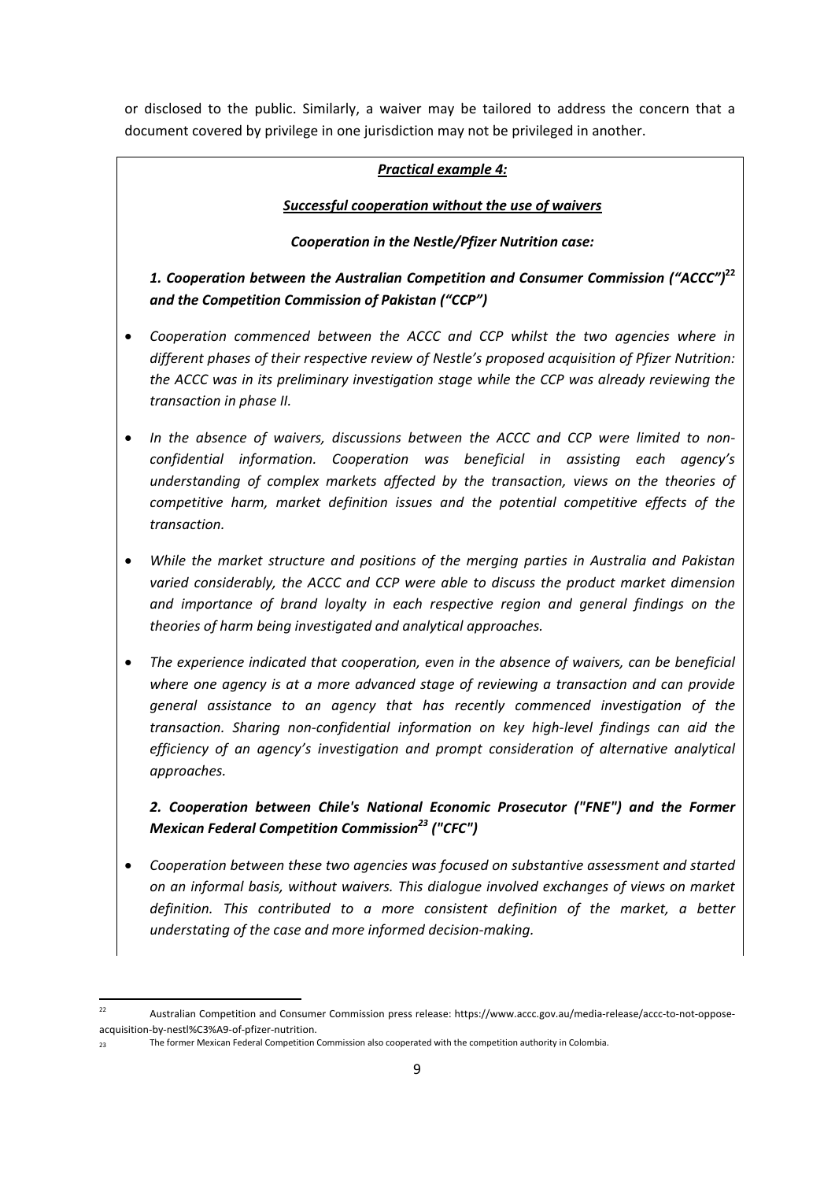or disclosed to the public. Similarly, a waiver may be tailored to address the concern that a document covered by privilege in one jurisdiction may not be privileged in another.

## *Practical example 4:*

## *Successful cooperation without the use of waivers*

### *Cooperation in the Nestle/Pfizer Nutrition case:*

*1. Cooperation between the Australian Competition and Consumer Commission ("ACCC")***<sup>22</sup>** *and the Competition Commission of Pakistan ("CCP")* 

- *Cooperation commenced between the ACCC and CCP whilst the two agencies where in different phases of their respective review of Nestle's proposed acquisition of Pfizer Nutrition: the ACCC was in its preliminary investigation stage while the CCP was already reviewing the transaction in phase II.*
- *In the absence of waivers, discussions between the ACCC and CCP were limited to nonconfidential information. Cooperation was beneficial in assisting each agency's understanding of complex markets affected by the transaction, views on the theories of competitive harm, market definition issues and the potential competitive effects of the transaction.*
- *While the market structure and positions of the merging parties in Australia and Pakistan varied considerably, the ACCC and CCP were able to discuss the product market dimension and importance of brand loyalty in each respective region and general findings on the theories of harm being investigated and analytical approaches.*
- *The experience indicated that cooperation, even in the absence of waivers, can be beneficial where one agency is at a more advanced stage of reviewing a transaction and can provide general assistance to an agency that has recently commenced investigation of the transaction. Sharing non-confidential information on key high-level findings can aid the efficiency of an agency's investigation and prompt consideration of alternative analytical approaches.*

*2. Cooperation between Chile's National Economic Prosecutor ("FNE") and the Former Mexican Federal Competition Commission*<sup>23</sup> ("CFC")

• *Cooperation between these two agencies was focused on substantive assessment and started on an informal basis, without waivers. This dialogue involved exchanges of views on market definition. This contributed to a more consistent definition of the market, a better understating of the case and more informed decision-making.* 

 $22$ 22 Australian Competition and Consumer Commission press release: https://www.accc.gov.au/media-release/accc-to-not-opposeacquisition-by-nestl%C3%A9-of-pfizer-nutrition.

<sup>23</sup> The former Mexican Federal Competition Commission also cooperated with the competition authority in Colombia.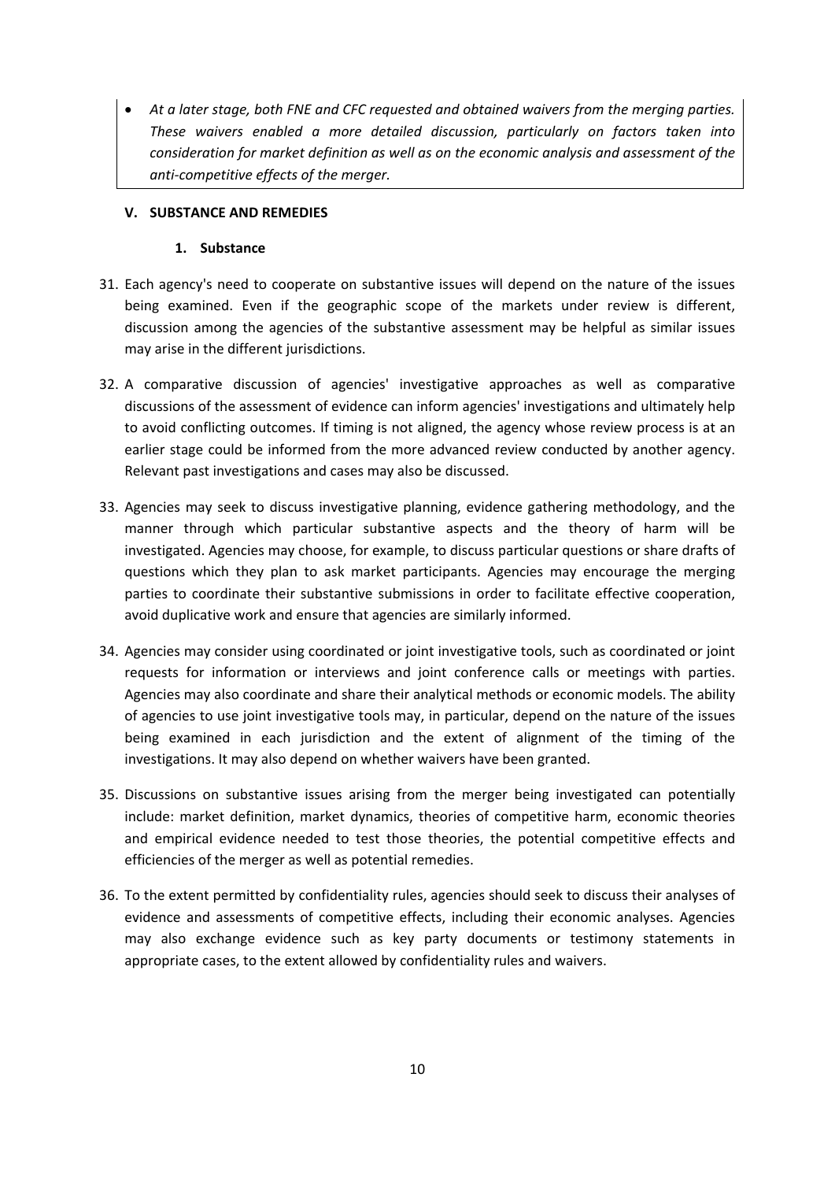• *At a later stage, both FNE and CFC requested and obtained waivers from the merging parties. These waivers enabled a more detailed discussion, particularly on factors taken into consideration for market definition as well as on the economic analysis and assessment of the anti-competitive effects of the merger.* 

#### **V. SUBSTANCE AND REMEDIES**

#### **1. Substance**

- 31. Each agency's need to cooperate on substantive issues will depend on the nature of the issues being examined. Even if the geographic scope of the markets under review is different, discussion among the agencies of the substantive assessment may be helpful as similar issues may arise in the different jurisdictions.
- 32. A comparative discussion of agencies' investigative approaches as well as comparative discussions of the assessment of evidence can inform agencies' investigations and ultimately help to avoid conflicting outcomes. If timing is not aligned, the agency whose review process is at an earlier stage could be informed from the more advanced review conducted by another agency. Relevant past investigations and cases may also be discussed.
- 33. Agencies may seek to discuss investigative planning, evidence gathering methodology, and the manner through which particular substantive aspects and the theory of harm will be investigated. Agencies may choose, for example, to discuss particular questions or share drafts of questions which they plan to ask market participants. Agencies may encourage the merging parties to coordinate their substantive submissions in order to facilitate effective cooperation, avoid duplicative work and ensure that agencies are similarly informed.
- 34. Agencies may consider using coordinated or joint investigative tools, such as coordinated or joint requests for information or interviews and joint conference calls or meetings with parties. Agencies may also coordinate and share their analytical methods or economic models. The ability of agencies to use joint investigative tools may, in particular, depend on the nature of the issues being examined in each jurisdiction and the extent of alignment of the timing of the investigations. It may also depend on whether waivers have been granted.
- 35. Discussions on substantive issues arising from the merger being investigated can potentially include: market definition, market dynamics, theories of competitive harm, economic theories and empirical evidence needed to test those theories, the potential competitive effects and efficiencies of the merger as well as potential remedies.
- 36. To the extent permitted by confidentiality rules, agencies should seek to discuss their analyses of evidence and assessments of competitive effects, including their economic analyses. Agencies may also exchange evidence such as key party documents or testimony statements in appropriate cases, to the extent allowed by confidentiality rules and waivers.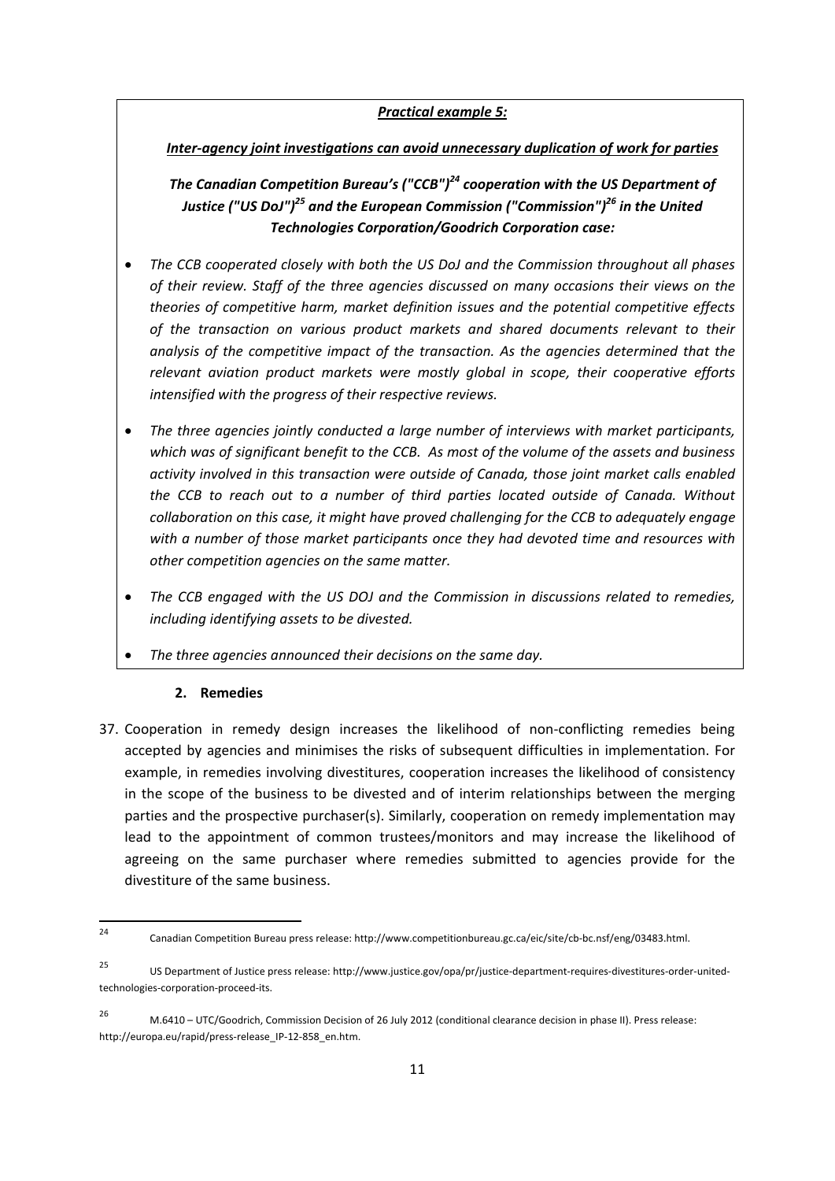# *Practical example 5:*

### *Inter-agency joint investigations can avoid unnecessary duplication of work for parties*

*The Canadian Competition Bureau's ("CCB")24 cooperation with the US Department of Justice ("US DoJ")<sup>25</sup> and the European Commission ("Commission")<sup>26</sup> in the United Technologies Corporation/Goodrich Corporation case:* 

- *The CCB cooperated closely with both the US DoJ and the Commission throughout all phases of their review. Staff of the three agencies discussed on many occasions their views on the theories of competitive harm, market definition issues and the potential competitive effects of the transaction on various product markets and shared documents relevant to their analysis of the competitive impact of the transaction. As the agencies determined that the relevant aviation product markets were mostly global in scope, their cooperative efforts intensified with the progress of their respective reviews.*
- *The three agencies jointly conducted a large number of interviews with market participants, which was of significant benefit to the CCB. As most of the volume of the assets and business activity involved in this transaction were outside of Canada, those joint market calls enabled the CCB to reach out to a number of third parties located outside of Canada. Without collaboration on this case, it might have proved challenging for the CCB to adequately engage with a number of those market participants once they had devoted time and resources with other competition agencies on the same matter.*
- *The CCB engaged with the US DOJ and the Commission in discussions related to remedies, including identifying assets to be divested.*
- *The three agencies announced their decisions on the same day.*

#### **2. Remedies**

37. Cooperation in remedy design increases the likelihood of non-conflicting remedies being accepted by agencies and minimises the risks of subsequent difficulties in implementation. For example, in remedies involving divestitures, cooperation increases the likelihood of consistency in the scope of the business to be divested and of interim relationships between the merging parties and the prospective purchaser(s). Similarly, cooperation on remedy implementation may lead to the appointment of common trustees/monitors and may increase the likelihood of agreeing on the same purchaser where remedies submitted to agencies provide for the divestiture of the same business.

<sup>24</sup> 24 Canadian Competition Bureau press release: http://www.competitionbureau.gc.ca/eic/site/cb-bc.nsf/eng/03483.html.

<sup>25</sup> US Department of Justice press release: http://www.justice.gov/opa/pr/justice-department-requires-divestitures-order-unitedtechnologies-corporation-proceed-its.

<sup>26</sup> M.6410 – UTC/Goodrich, Commission Decision of 26 July 2012 (conditional clearance decision in phase II). Press release: http://europa.eu/rapid/press-release\_IP-12-858\_en.htm.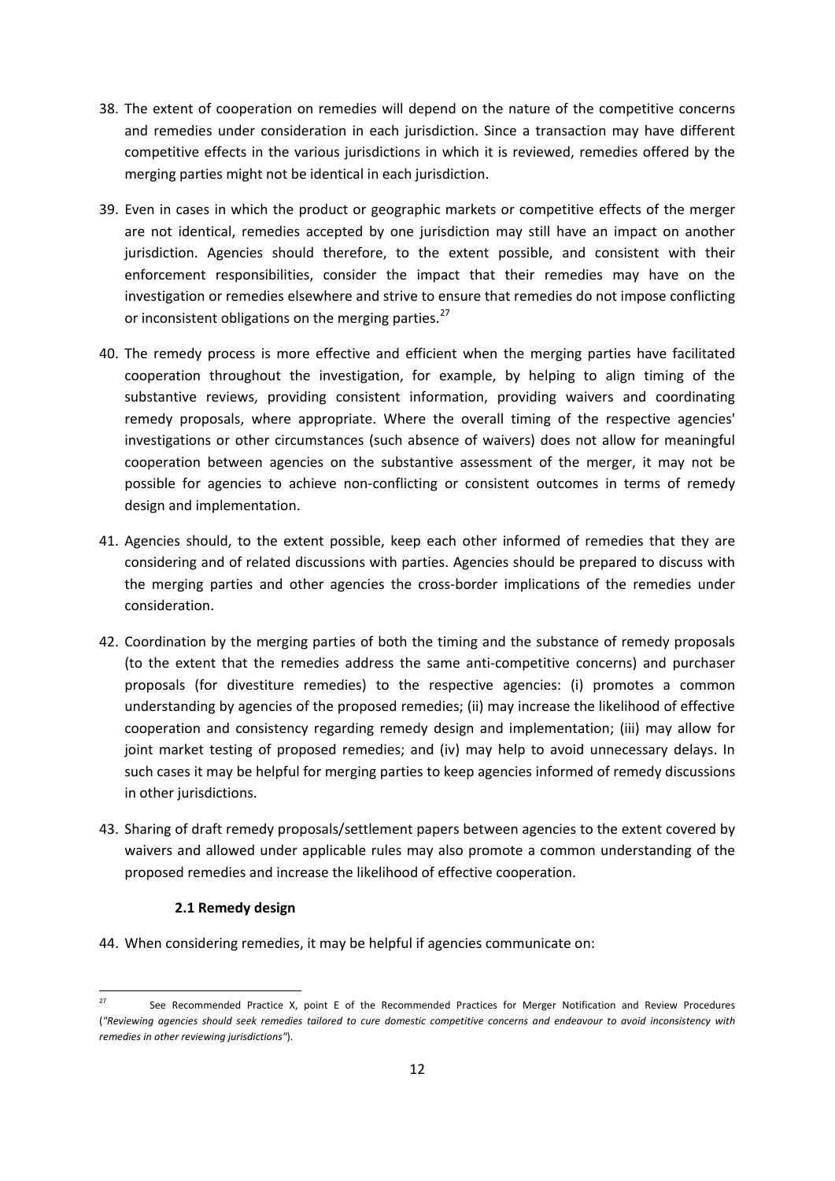- 38. The extent of cooperation on remedies will depend on the nature of the competitive concerns and remedies under consideration in each jurisdiction. Since a transaction may have different competitive effects in the various jurisdictions in which it is reviewed, remedies offered by the merging parties might not be identical in each jurisdiction.
- 39. Even in cases in which the product or geographic markets or competitive effects of the merger are not identical, remedies accepted by one jurisdiction may still have an impact on another jurisdiction. Agencies should therefore, to the extent possible, and consistent with their enforcement responsibilities, consider the impact that their remedies may have on the investigation or remedies elsewhere and strive to ensure that remedies do not impose conflicting or inconsistent obligations on the merging parties.<sup>27</sup>
- 40. The remedy process is more effective and efficient when the merging parties have facilitated cooperation throughout the investigation, for example, by helping to align timing of the substantive reviews, providing consistent information, providing waivers and coordinating remedy proposals, where appropriate. Where the overall timing of the respective agencies' investigations or other circumstances (such absence of waivers) does not allow for meaningful cooperation between agencies on the substantive assessment of the merger, it may not be possible for agencies to achieve non-conflicting or consistent outcomes in terms of remedy design and implementation.
- 41. Agencies should, to the extent possible, keep each other informed of remedies that they are considering and of related discussions with parties. Agencies should be prepared to discuss with the merging parties and other agencies the cross-border implications of the remedies under consideration.
- 42. Coordination by the merging parties of both the timing and the substance of remedy proposals (to the extent that the remedies address the same anti-competitive concerns) and purchaser proposals (for divestiture remedies) to the respective agencies: (i) promotes a common understanding by agencies of the proposed remedies; (ii) may increase the likelihood of effective cooperation and consistency regarding remedy design and implementation; (iii) may allow for joint market testing of proposed remedies; and (iv) may help to avoid unnecessary delays. In such cases it may be helpful for merging parties to keep agencies informed of remedy discussions in other jurisdictions.
- 43. Sharing of draft remedy proposals/settlement papers between agencies to the extent covered by waivers and allowed under applicable rules may also promote a common understanding of the proposed remedies and increase the likelihood of effective cooperation.

#### **2.1 Remedy design**

**.** 

44. When considering remedies, it may be helpful if agencies communicate on:

See Recommended Practice X, point E of the Recommended Practices for Merger Notification and Review Procedures (*"Reviewing agencies should seek remedies tailored to cure domestic competitive concerns and endeavour to avoid inconsistency with remedies in other reviewing jurisdictions"*).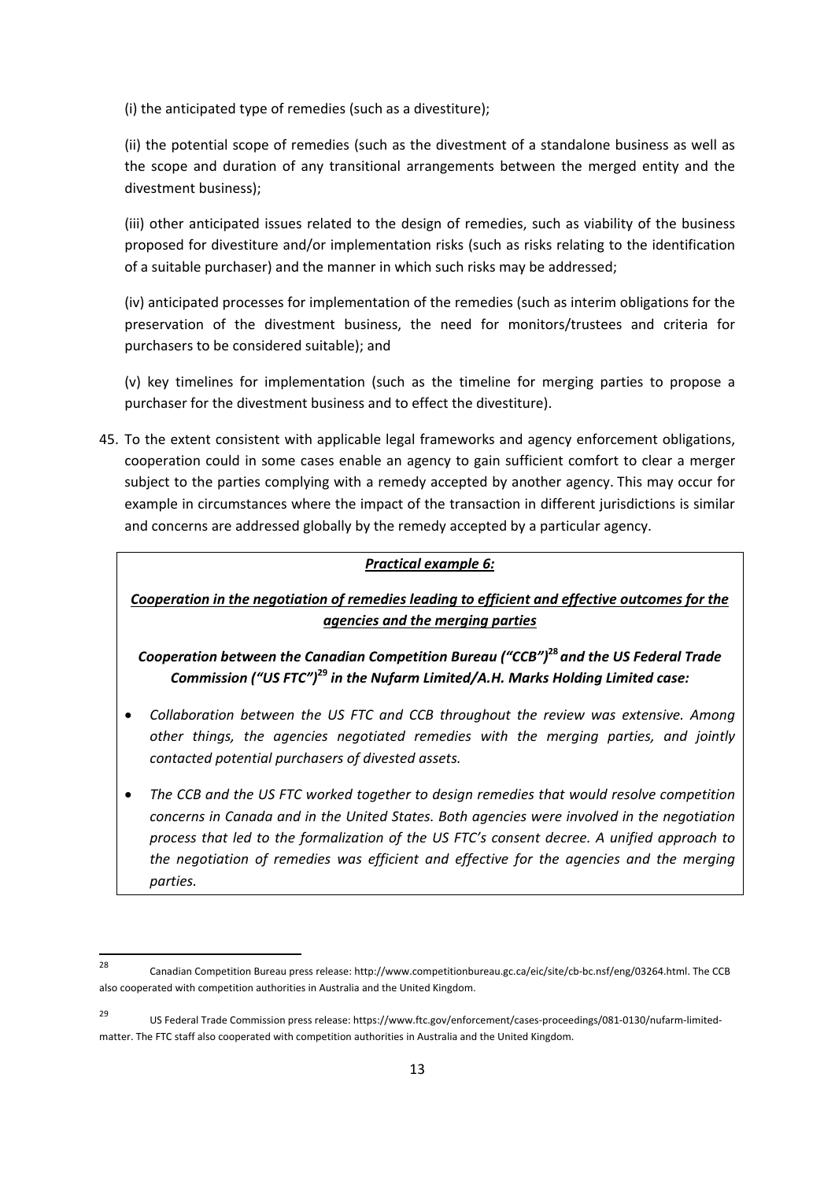(i) the anticipated type of remedies (such as a divestiture);

(ii) the potential scope of remedies (such as the divestment of a standalone business as well as the scope and duration of any transitional arrangements between the merged entity and the divestment business);

(iii) other anticipated issues related to the design of remedies, such as viability of the business proposed for divestiture and/or implementation risks (such as risks relating to the identification of a suitable purchaser) and the manner in which such risks may be addressed;

(iv) anticipated processes for implementation of the remedies (such as interim obligations for the preservation of the divestment business, the need for monitors/trustees and criteria for purchasers to be considered suitable); and

(v) key timelines for implementation (such as the timeline for merging parties to propose a purchaser for the divestment business and to effect the divestiture).

45. To the extent consistent with applicable legal frameworks and agency enforcement obligations, cooperation could in some cases enable an agency to gain sufficient comfort to clear a merger subject to the parties complying with a remedy accepted by another agency. This may occur for example in circumstances where the impact of the transaction in different jurisdictions is similar and concerns are addressed globally by the remedy accepted by a particular agency.

#### *Practical example 6:*

*Cooperation in the negotiation of remedies leading to efficient and effective outcomes for the agencies and the merging parties*

*Cooperation between the Canadian Competition Bureau ("CCB")***<sup>28</sup>** *and the US Federal Trade Commission ("US FTC")***<sup>29</sup>** *in the Nufarm Limited/A.H. Marks Holding Limited case:* 

- *Collaboration between the US FTC and CCB throughout the review was extensive. Among other things, the agencies negotiated remedies with the merging parties, and jointly contacted potential purchasers of divested assets.*
- *The CCB and the US FTC worked together to design remedies that would resolve competition concerns in Canada and in the United States. Both agencies were involved in the negotiation process that led to the formalization of the US FTC's consent decree. A unified approach to the negotiation of remedies was efficient and effective for the agencies and the merging parties.*

<sup>28</sup> 28 Canadian Competition Bureau press release: http://www.competitionbureau.gc.ca/eic/site/cb-bc.nsf/eng/03264.html. The CCB also cooperated with competition authorities in Australia and the United Kingdom.

<sup>29</sup> US Federal Trade Commission press release: https://www.ftc.gov/enforcement/cases-proceedings/081-0130/nufarm-limitedmatter. The FTC staff also cooperated with competition authorities in Australia and the United Kingdom.